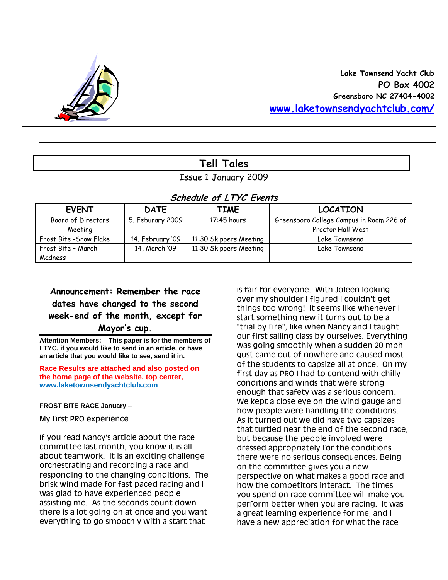

# **Tell Tales**

Issue 1 January 2009

## **Schedule of LTYC Events**

| <b>EVENT</b>            | <b>DATE</b>      | <b>TIME</b>            | <b>LOCATION</b>                          |
|-------------------------|------------------|------------------------|------------------------------------------|
| Board of Directors      | 5, Feburary 2009 | 17:45 hours            | Greensboro College Campus in Room 226 of |
| Meeting                 |                  |                        | Proctor Hall West                        |
| Frost Bite - Snow Flake | 14, February '09 | 11:30 Skippers Meeting | Lake Townsend                            |
| Frost Bite - March      | 14, March '09    | 11:30 Skippers Meeting | Lake Townsend                            |
| Madness                 |                  |                        |                                          |

**Announcement: Remember the race dates have changed to the second week-end of the month, except for Mayor's cup.** 

**Attention Members: This paper is for the members of LTYC, if you would like to send in an article, or have an article that you would like to see, send it in.** 

**Race Results are attached and also posted on the home page of the website, top center, [www.laketownsendyachtclub.com](http://www.laketownsendyachtclub.com/)**

**FROST BITE RACE January –**

My first PRO experience

If you read Nancy's article about the race committee last month, you know it is all about teamwork. It is an exciting challenge orchestrating and recording a race and responding to the changing conditions. The brisk wind made for fast paced racing and I was glad to have experienced people assisting me. As the seconds count down there is a lot going on at once and you want everything to go smoothly with a start that

is fair for everyone. With Joleen looking over my shoulder I figured I couldn't get things too wrong! It seems like whenever I start something new it turns out to be a "trial by fire", like when Nancy and I taught our first sailing class by ourselves. Everything was going smoothly when a sudden 20 mph gust came out of nowhere and caused most of the students to capsize all at once. On my first day as PRO I had to contend with chilly conditions and winds that were strong enough that safety was a serious concern. We kept a close eye on the wind gauge and how people were handling the conditions. As it turned out we did have two capsizes that turtled near the end of the second race, but because the people involved were dressed appropriately for the conditions there were no serious consequences. Being on the committee gives you a new perspective on what makes a good race and how the competitors interact. The times you spend on race committee will make you perform better when you are racing. It was a great learning experience for me, and I have a new appreciation for what the race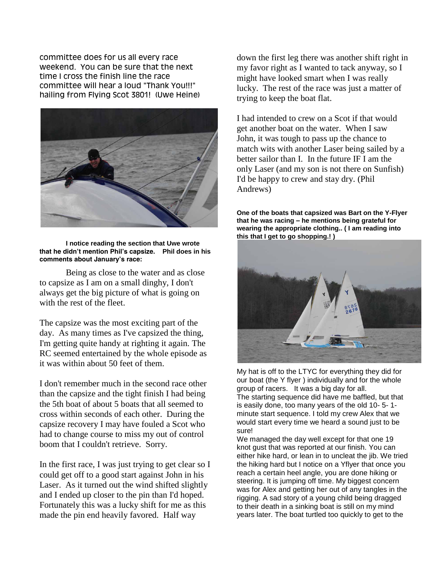committee does for us all every race weekend. You can be sure that the next time I cross the finish line the race committee will hear a loud "Thank You!!!" hailing from Flying Scot 3801! (Uwe Heine)



**I notice reading the section that Uwe wrote that he didn't mention Phil's capsize. Phil does in his comments about January's race:**

Being as close to the water and as close to capsize as I am on a small dinghy, I don't always get the big picture of what is going on with the rest of the fleet.

The capsize was the most exciting part of the day. As many times as I've capsized the thing, I'm getting quite handy at righting it again. The RC seemed entertained by the whole episode as it was within about 50 feet of them.

I don't remember much in the second race other than the capsize and the tight finish I had being the 5th boat of about 5 boats that all seemed to cross within seconds of each other. During the capsize recovery I may have fouled a Scot who had to change course to miss my out of control boom that I couldn't retrieve. Sorry.

In the first race, I was just trying to get clear so I could get off to a good start against John in his Laser. As it turned out the wind shifted slightly and I ended up closer to the pin than I'd hoped. Fortunately this was a lucky shift for me as this made the pin end heavily favored. Half way

down the first leg there was another shift right in my favor right as I wanted to tack anyway, so I might have looked smart when I was really lucky. The rest of the race was just a matter of trying to keep the boat flat.

I had intended to crew on a Scot if that would get another boat on the water. When I saw John, it was tough to pass up the chance to match wits with another Laser being sailed by a better sailor than I. In the future IF I am the only Laser (and my son is not there on Sunfish) I'd be happy to crew and stay dry. (Phil Andrews)

**One of the boats that capsized was Bart on the Y-Flyer that he was racing – he mentions being grateful for wearing the appropriate clothing.. ( I am reading into this that I get to go shopping.! )** 



My hat is off to the LTYC for everything they did for our boat (the Y flyer ) individually and for the whole group of racers. It was a big day for all. The starting sequence did have me baffled, but that is easily done, too many years of the old 10- 5- 1 minute start sequence. I told my crew Alex that we would start every time we heard a sound just to be sure!

We managed the day well except for that one 19 knot gust that was reported at our finish. You can either hike hard, or lean in to uncleat the jib. We tried the hiking hard but I notice on a Yflyer that once you reach a certain heel angle, you are done hiking or steering. It is jumping off time. My biggest concern was for Alex and getting her out of any tangles in the rigging. A sad story of a young child being dragged to their death in a sinking boat is still on my mind years later. The boat turtled too quickly to get to the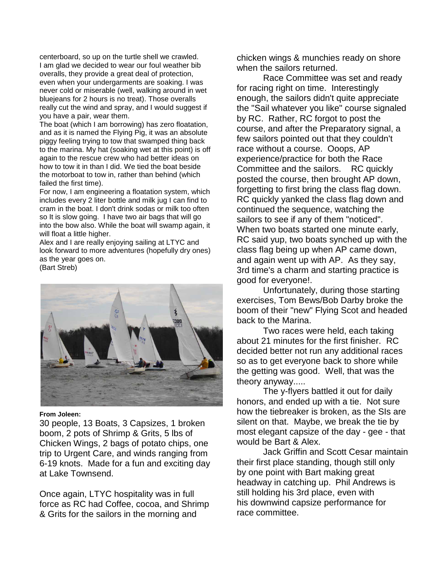centerboard, so up on the turtle shell we crawled. I am glad we decided to wear our foul weather bib overalls, they provide a great deal of protection, even when your undergarments are soaking. I was never cold or miserable (well, walking around in wet bluejeans for 2 hours is no treat). Those overalls really cut the wind and spray, and I would suggest if you have a pair, wear them.

The boat (which I am borrowing) has zero floatation, and as it is named the Flying Pig, it was an absolute piggy feeling trying to tow that swamped thing back to the marina. My hat (soaking wet at this point) is off again to the rescue crew who had better ideas on how to tow it in than I did. We tied the boat beside the motorboat to tow in, rather than behind (which failed the first time).

For now, I am engineering a floatation system, which includes every 2 liter bottle and milk jug I can find to cram in the boat. I don't drink sodas or milk too often so It is slow going. I have two air bags that will go into the bow also. While the boat will swamp again, it will float a little higher.

Alex and I are really enjoying sailing at LTYC and look forward to more adventures (hopefully dry ones) as the year goes on.

(Bart Streb)



#### **From Joleen:**

30 people, 13 Boats, 3 Capsizes, 1 broken boom, 2 pots of Shrimp & Grits, 5 lbs of Chicken Wings, 2 bags of potato chips, one trip to Urgent Care, and winds ranging from 6-19 knots. Made for a fun and exciting day at Lake Townsend.

Once again, LTYC hospitality was in full force as RC had Coffee, cocoa, and Shrimp & Grits for the sailors in the morning and

chicken wings & munchies ready on shore when the sailors returned.

Race Committee was set and ready for racing right on time. Interestingly enough, the sailors didn't quite appreciate the "Sail whatever you like" course signaled by RC. Rather, RC forgot to post the course, and after the Preparatory signal, a few sailors pointed out that they couldn't race without a course. Ooops, AP experience/practice for both the Race Committee and the sailors. RC quickly posted the course, then brought AP down, forgetting to first bring the class flag down. RC quickly yanked the class flag down and continued the sequence, watching the sailors to see if any of them "noticed". When two boats started one minute early, RC said yup, two boats synched up with the class flag being up when AP came down, and again went up with AP. As they say, 3rd time's a charm and starting practice is good for everyone!.

Unfortunately, during those starting exercises, Tom Bews/Bob Darby broke the boom of their "new" Flying Scot and headed back to the Marina.

Two races were held, each taking about 21 minutes for the first finisher. RC decided better not run any additional races so as to get everyone back to shore while the getting was good. Well, that was the theory anyway.....

The y-flyers battled it out for daily honors, and ended up with a tie. Not sure how the tiebreaker is broken, as the SIs are silent on that. Maybe, we break the tie by most elegant capsize of the day - gee - that would be Bart & Alex.

Jack Griffin and Scott Cesar maintain their first place standing, though still only by one point with Bart making great headway in catching up. Phil Andrews is still holding his 3rd place, even with his downwind capsize performance for race committee.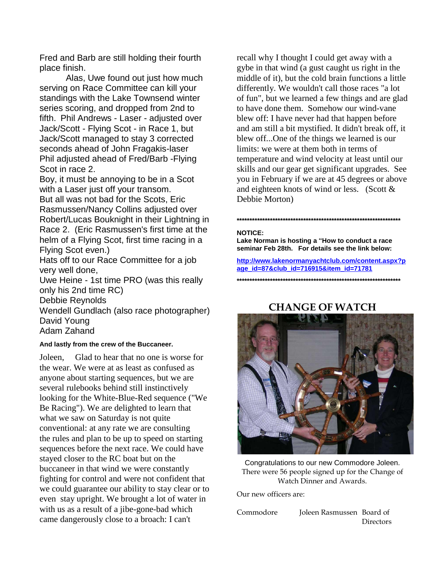Fred and Barb are still holding their fourth place finish.

Alas, Uwe found out just how much serving on Race Committee can kill your standings with the Lake Townsend winter series scoring, and dropped from 2nd to fifth. Phil Andrews - Laser - adjusted over Jack/Scott - Flying Scot - in Race 1, but Jack/Scott managed to stay 3 corrected seconds ahead of John Fragakis-laser Phil adjusted ahead of Fred/Barb -Flying Scot in race 2.

Boy, it must be annoying to be in a Scot with a Laser just off your transom. But all was not bad for the Scots, Eric Rasmussen/Nancy Collins adjusted over Robert/Lucas Bouknight in their Lightning in Race 2. (Eric Rasmussen's first time at the helm of a Flying Scot, first time racing in a Flying Scot even.)

Hats off to our Race Committee for a job very well done,

Uwe Heine - 1st time PRO (was this really only his 2nd time RC)

Debbie Reynolds

Wendell Gundlach (also race photographer) David Young Adam Zahand

### **And lastly from the crew of the Buccaneer.**

Joleen, Glad to hear that no one is worse for the wear. We were at as least as confused as anyone about starting sequences, but we are several rulebooks behind still instinctively looking for the White-Blue-Red sequence ("We Be Racing"). We are delighted to learn that what we saw on Saturday is not quite conventional: at any rate we are consulting the rules and plan to be up to speed on starting sequences before the next race. We could have stayed closer to the RC boat but on the buccaneer in that wind we were constantly fighting for control and were not confident that we could guarantee our ability to stay clear or to even stay upright. We brought a lot of water in with us as a result of a jibe-gone-bad which came dangerously close to a broach: I can't

recall why I thought I could get away with a gybe in that wind (a gust caught us right in the middle of it), but the cold brain functions a little differently. We wouldn't call those races "a lot of fun", but we learned a few things and are glad to have done them. Somehow our wind-vane blew off: I have never had that happen before and am still a bit mystified. It didn't break off, it blew off...One of the things we learned is our limits: we were at them both in terms of temperature and wind velocity at least until our skills and our gear get significant upgrades. See you in February if we are at 45 degrees or above and eighteen knots of wind or less. (Scott & Debbie Morton)

#### **NOTICE:**

**Lake Norman is hosting a "How to conduct a race seminar Feb 28th. For details see the link below:**

**[http://www.lakenormanyachtclub.com/content.aspx?p](http://www.lakenormanyachtclub.com/content.aspx?page_id=87&club_id=716915&item_id=71781) [age\\_id=87&club\\_id=716915&item\\_id=71781](http://www.lakenormanyachtclub.com/content.aspx?page_id=87&club_id=716915&item_id=71781)**

**\*\*\*\*\*\*\*\*\*\*\*\*\*\*\*\*\*\*\*\*\*\*\*\*\*\*\*\*\*\*\*\*\*\*\*\*\*\*\*\*\*\*\*\*\*\*\*\*\*\*\*\*\*\*\*\*\*\*\*\*\*\*\*\***

**\*\*\*\*\*\*\*\*\*\*\*\*\*\*\*\*\*\*\*\*\*\*\*\*\*\*\*\*\*\*\*\*\*\*\*\*\*\*\*\*\*\*\*\*\*\*\*\*\*\*\*\*\*\*\*\*\*\*\*\*\*\*\*\***

### **CHANGE OF WATCH**



Congratulations to our new Commodore Joleen. There were 56 people signed up for the Change of Watch Dinner and Awards.

Our new officers are:

Commodore Joleen Rasmussen Board of **Directors**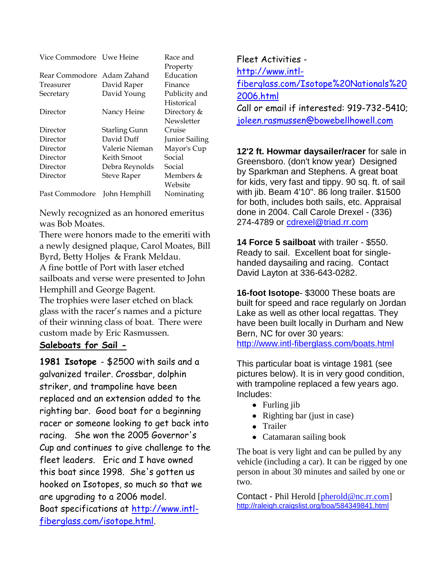| Vice Commodore Uwe Heine |                    | Race and       |  |  |  |  |
|--------------------------|--------------------|----------------|--|--|--|--|
|                          |                    | Property       |  |  |  |  |
| Rear Commodore           | Adam Zahand        | Education      |  |  |  |  |
| Treasurer                | David Raper        | Finance        |  |  |  |  |
| Secretary                | David Young        | Publicity and  |  |  |  |  |
|                          |                    | Historical     |  |  |  |  |
| Director                 | Nancy Heine        | Directory &    |  |  |  |  |
|                          |                    | Newsletter     |  |  |  |  |
| Director                 | Starling Gunn      | Cruise         |  |  |  |  |
| Director                 | David Duff         | Junior Sailing |  |  |  |  |
| Director                 | Valerie Nieman     | Mayor's Cup    |  |  |  |  |
| Director                 | Keith Smoot        | Social         |  |  |  |  |
| Director                 | Debra Reynolds     | Social         |  |  |  |  |
| Director                 | <b>Steve Raper</b> | Members &      |  |  |  |  |
|                          |                    | Website        |  |  |  |  |
| Past Commodore           | John Hemphill      | Nominating     |  |  |  |  |

Newly recognized as an honored emeritus was Bob Moates.

There were honors made to the emeriti with a newly designed plaque, Carol Moates, Bill Byrd, Betty Holjes & Frank Meldau. A fine bottle of Port with laser etched sailboats and verse were presented to John Hemphill and George Bagent.

The trophies were laser etched on black glass with the racer's names and a picture of their winning class of boat. There were custom made by Eric Rasmussen.

### **Saleboats for Sail -**

**1981 Isotope** - \$2500 with sails and a galvanized trailer. Crossbar, dolphin striker, and trampoline have been replaced and an extension added to the righting bar. Good boat for a beginning racer or someone looking to get back into racing. She won the 2005 Governor's Cup and continues to give challenge to the fleet leaders. Eric and I have owned this boat since 1998. She's gotten us hooked on Isotopes, so much so that we are upgrading to a 2006 model. Boat specifications at [http://www.intl](http://www.intl-fiberglass.com/isotope.html)[fiberglass.com/isotope.html.](http://www.intl-fiberglass.com/isotope.html)

Fleet Activities [http://www.intl](http://www.intl-fiberglass.com/Isotope%20Nationals%202006.html)[fiberglass.com/Isotope%20Nationals%20](http://www.intl-fiberglass.com/Isotope%20Nationals%202006.html) [2006.html](http://www.intl-fiberglass.com/Isotope%20Nationals%202006.html) Call or email if interested: 919-732-5410; [joleen.rasmussen@bowebellhowell.com](mailto:joleen.rasmussen@bowebellhowell.com)

**12'2 ft. Howmar daysailer/racer** for sale in Greensboro. (don't know year) Designed by Sparkman and Stephens. A great boat for kids, very fast and tippy. 90 sq. ft. of sail with jib. Beam 4'10". 86 long trailer. \$1500 for both, includes both sails, etc. Appraisal done in 2004. Call Carole Drexel - (336) 274-4789 or [cdrexel@triad.rr.com](mailto:cdrexel@triad.rr.com)

**14 Force 5 sailboat** with trailer - \$550. Ready to sail. Excellent boat for singlehanded daysailing and racing. Contact David Layton at 336-643-0282.

**16-foot Isotope**- \$3000 These boats are built for speed and race regularly on Jordan Lake as well as other local regattas. They have been built locally in Durham and New Bern, NC for over 30 years: <http://www.intl-fiberglass.com/boats.html>

This particular boat is vintage 1981 (see pictures below). It is in very good condition, with trampoline replaced a few years ago. Includes:

- Furling jib
- Righting bar (just in case)
- Trailer
- Catamaran sailing book

The boat is very light and can be pulled by any vehicle (including a car). It can be rigged by one person in about 30 minutes and sailed by one or two.

Contact - Phil Herold [\[pherold@nc.rr.com\]](http://webmail.att.net/wmc/v/wm/47E997450008F710000072F722230682229B0A02D2089B9A019C04040A0DBF9A0A02070A08?cmd=ComposeTo&adr=pherold@nc.rr.com&sid=c0) [http://raleigh.craigslist.org/boa/584349841.html](http://raleigh.craigslist.org/boa/584349841.html#_blank)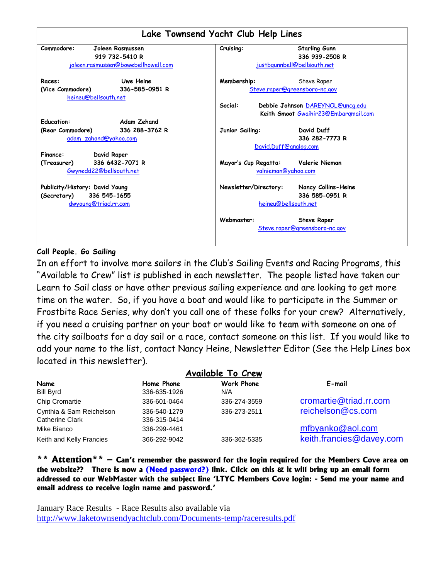

### **Call People. Go Sailing**

In an effort to involve more sailors in the Club"s Sailing Events and Racing Programs, this "Available to Crew" list is published in each newsletter. The people listed have taken our Learn to Sail class or have other previous sailing experience and are looking to get more time on the water. So, if you have a boat and would like to participate in the Summer or Frostbite Race Series, why don"t you call one of these folks for your crew? Alternatively, if you need a cruising partner on your boat or would like to team with someone on one of the city sailboats for a day sail or a race, contact someone on this list. If you would like to add your name to the list, contact Nancy Heine, Newsletter Editor (See the Help Lines box located in this newsletter).

| Name<br><b>Bill Byrd</b>                           | Home Phone<br>336-635-1926   | Work Phone<br>N/A | E-mail                   |
|----------------------------------------------------|------------------------------|-------------------|--------------------------|
| Chip Cromartie                                     | 336-601-0464                 | 336-274-3559      | cromartie@triad.rr.com   |
| Cynthia & Sam Reichelson<br><b>Catherine Clark</b> | 336-540-1279<br>336-315-0414 | 336-273-2511      | reichelson@cs.com        |
| Mike Bianco                                        | 336-299-4461                 |                   | mfbyanko@aol.com         |
| Keith and Kelly Francies                           | 366-292-9042                 | 336-362-5335      | keith.francies@davey.com |

**\*\* Attention\*\* – Can't remember the password for the login required for the Members Cove area on the website?? There is now a (Need password?) link. Click on this & it will bring up an email form addressed to our WebMaster with the subject line 'LTYC Members Cove login: - Send me your name and email address to receive login name and password.'** 

January Race Results - Race Results also available via <http://www.laketownsendyachtclub.com/Documents-temp/raceresults.pdf>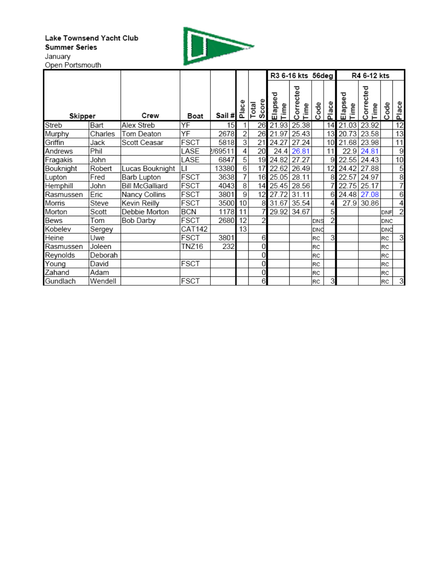#### Lake Townsend Yacht Club **Summer Series** January



Open Portsmouth

|           |         |                        |              |         |                 |                |                 | R3 6-16 kts 56deg        |      |                | R4 6-12 kts     |                   |            |                |
|-----------|---------|------------------------|--------------|---------|-----------------|----------------|-----------------|--------------------------|------|----------------|-----------------|-------------------|------------|----------------|
| Skipper   |         | Crew                   | Boat         | Sail #  | Place           | Score<br>Total | Elapsed<br>Time | Corrected<br><b>Time</b> | Code | Place          | Elapsed<br>Time | Corrected<br>Time | de         | Place          |
| Streb     | Bart    | Alex Streb             | YF           | 15      |                 | 26             | 21.93           | 25.38                    |      | 14             | 21.03           | 23.92             |            | 12             |
| Murphy    | Charles | Tom Deaton             | ΥF           | 2678    | 2               | 26             | 21.97           | 25.43                    |      | 13             | 20.73           | 23.58             |            | 13             |
| Griffin   | Jack    | Scott Ceasar           | FSCT         | 5818    | 3               | 21             | 24.27           | 27.24                    |      | 10             | 21.68           | 23.98             |            | 11             |
| Andrews   | Phil    |                        | LASE         | 2/69511 | 4               | 20             | 24.4            | 26.81                    |      | 11             | 22.9            | 24.81             |            | 9              |
| Fragakis  | John    |                        | LASE         | 6847    | 5               | 19             | 24.82           | 27.27                    |      | 9              | 22.55           | 24.43             |            | 10             |
| Bouknight | Robert  | Lucas Bouknight        | $\mathsf{L}$ | 13380   | $6\overline{6}$ | 17             | 22.62           | 26.49                    |      | 12             | 24.42           | 27.88             |            | 5              |
| Lupton    | Fred    | Barb Lupton            | <b>FSCT</b>  | 3638    | 7               | 16             | 25.05           | 28.11                    |      | 8              | 22.57           | 24.97             |            | 8              |
| Hemphill  | John    | <b>Bill McGalliard</b> | <b>FSCT</b>  | 4043    | 8               | 14             | 25.45           | 28.56                    |      |                | 22.75           | 25.17             |            | 7              |
| Rasmussen | Eric    | Nancy Collins          | <b>FSCT</b>  | 3801    | 9               | 12             | 27.72           | 31.11                    |      | 6              | 24.48           | 27.08             |            | 6              |
| Morris    | Steve   | Kevin Reilly           | <b>FSCT</b>  | 3500    | 10              | 8              | 31.67           | 35.54                    |      | 4              | 27.9            | 30.86             |            | 4              |
| Morton    | Scott   | Debbie Morton          | <b>BCN</b>   | 1178    | 11              |                | 29.92           | 34.67                    |      | 5              |                 |                   | DNF        | $\overline{2}$ |
| Bews      | Tom     | Bob Darby              | <b>FSCT</b>  | 2680    | 12              | $\overline{2}$ |                 |                          | DNS  | $\overline{2}$ |                 |                   | DNC        |                |
| Kobelev   | Sergey  |                        | CAT142       |         | 13              |                |                 |                          | DNC  |                |                 |                   | DNC        |                |
| Heine     | Uwe     |                        | <b>FSCT</b>  | 3801    |                 | 6              |                 |                          | RC   | 3              |                 |                   | RC         | 3              |
| Rasmussen | Joleen  |                        | <b>TNZ16</b> | 232     |                 | 0              |                 |                          | RC   |                |                 |                   | RC         |                |
| Reynolds  | Deborah |                        |              |         |                 | 0              |                 |                          | RC   |                |                 |                   | RC         |                |
| Young     | David   |                        | <b>FSCT</b>  |         |                 | 0              |                 |                          | RC   |                |                 |                   | lRC.       |                |
| Zahand    | Adam    |                        |              |         |                 | 0              |                 |                          | RC   |                |                 |                   | <b>IRC</b> |                |
| Gundlach  | Wendell |                        | <b>FSCT</b>  |         |                 | 6              |                 |                          | RC   | 3              |                 |                   | RC         | 3              |